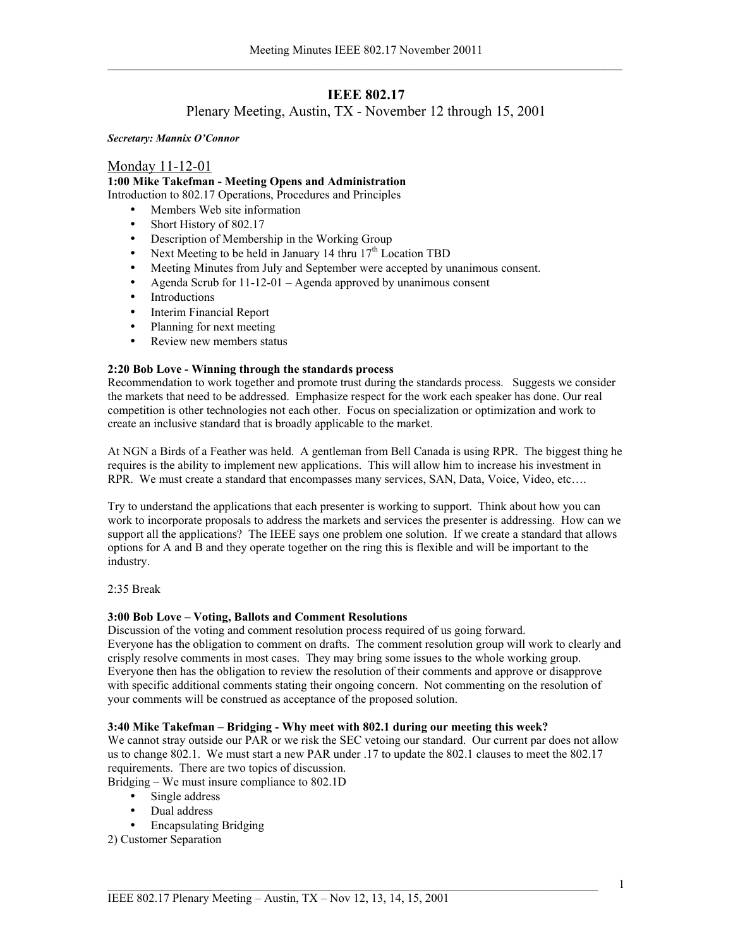# **IEEE 802.17**

# Plenary Meeting, Austin, TX - November 12 through 15, 2001

*Secretary: Mannix O'Connor* 

# Monday 11-12-01

**1:00 Mike Takefman - Meeting Opens and Administration**  Introduction to 802.17 Operations, Procedures and Principles

• Members Web site information

- Short History of 802.17
- Description of Membership in the Working Group
- Next Meeting to be held in January 14 thru  $17<sup>th</sup>$  Location TBD
- Meeting Minutes from July and September were accepted by unanimous consent.
- Agenda Scrub for  $11-12-01$  Agenda approved by unanimous consent
- Introductions
- Interim Financial Report
- Planning for next meeting
- Review new members status

# **2:20 Bob Love - Winning through the standards process**

Recommendation to work together and promote trust during the standards process. Suggests we consider the markets that need to be addressed. Emphasize respect for the work each speaker has done. Our real competition is other technologies not each other. Focus on specialization or optimization and work to create an inclusive standard that is broadly applicable to the market.

At NGN a Birds of a Feather was held. A gentleman from Bell Canada is using RPR. The biggest thing he requires is the ability to implement new applications. This will allow him to increase his investment in RPR. We must create a standard that encompasses many services, SAN, Data, Voice, Video, etc….

Try to understand the applications that each presenter is working to support. Think about how you can work to incorporate proposals to address the markets and services the presenter is addressing. How can we support all the applications? The IEEE says one problem one solution. If we create a standard that allows options for A and B and they operate together on the ring this is flexible and will be important to the industry.

2:35 Break

# **3:00 Bob Love – Voting, Ballots and Comment Resolutions**

Discussion of the voting and comment resolution process required of us going forward. Everyone has the obligation to comment on drafts. The comment resolution group will work to clearly and crisply resolve comments in most cases. They may bring some issues to the whole working group. Everyone then has the obligation to review the resolution of their comments and approve or disapprove with specific additional comments stating their ongoing concern. Not commenting on the resolution of your comments will be construed as acceptance of the proposed solution.

# **3:40 Mike Takefman – Bridging - Why meet with 802.1 during our meeting this week?**

We cannot stray outside our PAR or we risk the SEC vetoing our standard. Our current par does not allow us to change 802.1. We must start a new PAR under .17 to update the 802.1 clauses to meet the 802.17 requirements. There are two topics of discussion.

Bridging – We must insure compliance to 802.1D

- Single address
- Dual address
- Encapsulating Bridging

2) Customer Separation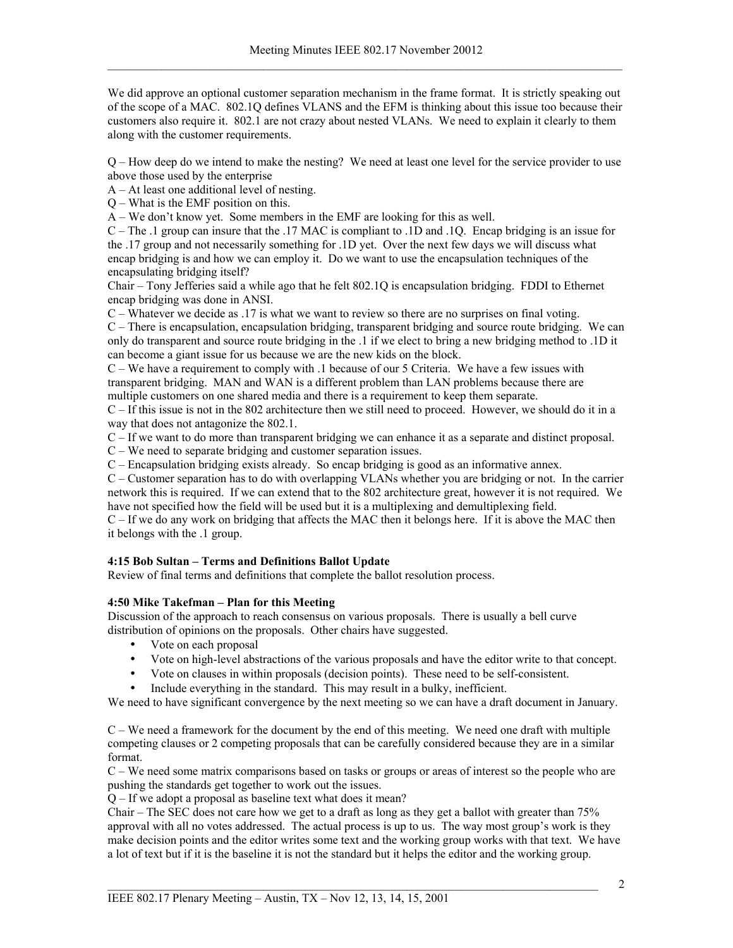We did approve an optional customer separation mechanism in the frame format. It is strictly speaking out of the scope of a MAC. 802.1Q defines VLANS and the EFM is thinking about this issue too because their customers also require it. 802.1 are not crazy about nested VLANs. We need to explain it clearly to them along with the customer requirements.

Q – How deep do we intend to make the nesting? We need at least one level for the service provider to use above those used by the enterprise

A – At least one additional level of nesting.

Q – What is the EMF position on this.

A – We don't know yet. Some members in the EMF are looking for this as well.

C – The .1 group can insure that the .17 MAC is compliant to .1D and .1Q. Encap bridging is an issue for the .17 group and not necessarily something for .1D yet. Over the next few days we will discuss what encap bridging is and how we can employ it. Do we want to use the encapsulation techniques of the encapsulating bridging itself?

Chair – Tony Jefferies said a while ago that he felt 802.1Q is encapsulation bridging. FDDI to Ethernet encap bridging was done in ANSI.

C – Whatever we decide as .17 is what we want to review so there are no surprises on final voting. C – There is encapsulation, encapsulation bridging, transparent bridging and source route bridging. We can only do transparent and source route bridging in the .1 if we elect to bring a new bridging method to .1D it can become a giant issue for us because we are the new kids on the block.

C – We have a requirement to comply with .1 because of our 5 Criteria. We have a few issues with transparent bridging. MAN and WAN is a different problem than LAN problems because there are multiple customers on one shared media and there is a requirement to keep them separate.

C – If this issue is not in the 802 architecture then we still need to proceed. However, we should do it in a way that does not antagonize the 802.1.

C – If we want to do more than transparent bridging we can enhance it as a separate and distinct proposal.

C – We need to separate bridging and customer separation issues.

C – Encapsulation bridging exists already. So encap bridging is good as an informative annex.

C – Customer separation has to do with overlapping VLANs whether you are bridging or not. In the carrier network this is required. If we can extend that to the 802 architecture great, however it is not required. We have not specified how the field will be used but it is a multiplexing and demultiplexing field.

C – If we do any work on bridging that affects the MAC then it belongs here. If it is above the MAC then it belongs with the .1 group.

# **4:15 Bob Sultan – Terms and Definitions Ballot Update**

Review of final terms and definitions that complete the ballot resolution process.

# **4:50 Mike Takefman – Plan for this Meeting**

Discussion of the approach to reach consensus on various proposals. There is usually a bell curve distribution of opinions on the proposals. Other chairs have suggested.

- Vote on each proposal
- Vote on high-level abstractions of the various proposals and have the editor write to that concept.
- Vote on clauses in within proposals (decision points). These need to be self-consistent.
- Include everything in the standard. This may result in a bulky, inefficient.

We need to have significant convergence by the next meeting so we can have a draft document in January.

C – We need a framework for the document by the end of this meeting. We need one draft with multiple competing clauses or 2 competing proposals that can be carefully considered because they are in a similar format.

C – We need some matrix comparisons based on tasks or groups or areas of interest so the people who are pushing the standards get together to work out the issues.

Q – If we adopt a proposal as baseline text what does it mean?

Chair – The SEC does not care how we get to a draft as long as they get a ballot with greater than 75% approval with all no votes addressed. The actual process is up to us. The way most group's work is they make decision points and the editor writes some text and the working group works with that text. We have a lot of text but if it is the baseline it is not the standard but it helps the editor and the working group.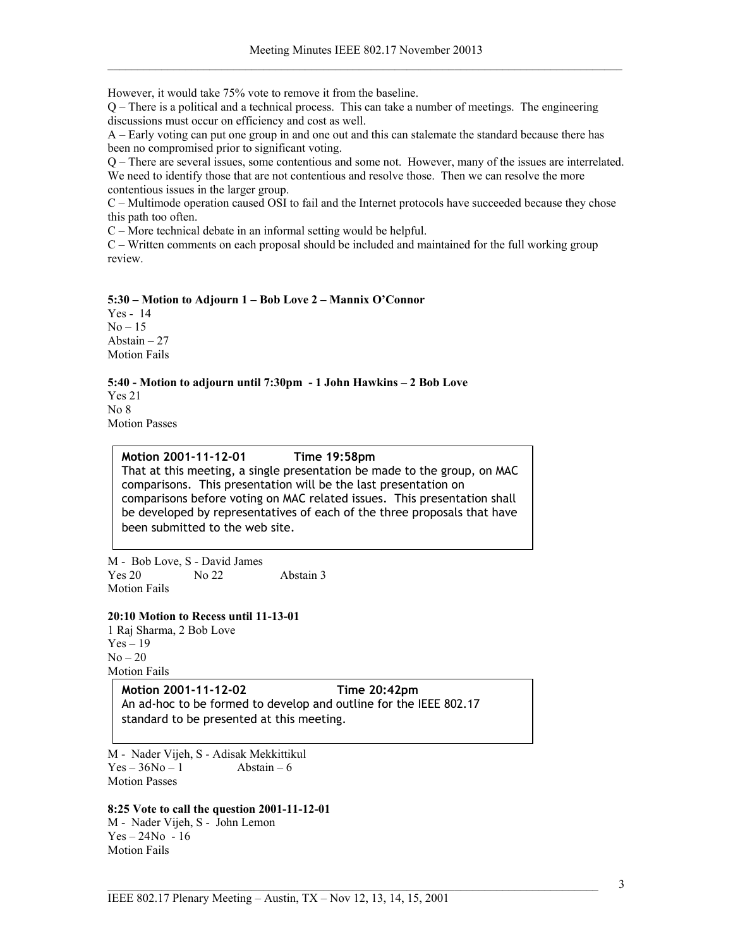However, it would take 75% vote to remove it from the baseline.

Q – There is a political and a technical process. This can take a number of meetings. The engineering discussions must occur on efficiency and cost as well.

A – Early voting can put one group in and one out and this can stalemate the standard because there has been no compromised prior to significant voting.

Q – There are several issues, some contentious and some not. However, many of the issues are interrelated. We need to identify those that are not contentious and resolve those. Then we can resolve the more contentious issues in the larger group.

C – Multimode operation caused OSI to fail and the Internet protocols have succeeded because they chose this path too often.

C – More technical debate in an informal setting would be helpful.

C – Written comments on each proposal should be included and maintained for the full working group review.

# **5:30 – Motion to Adjourn 1 – Bob Love 2 – Mannix O'Connor**

Yes - 14  $No-15$ Abstain – 27 Motion Fails

**5:40 - Motion to adjourn until 7:30pm - 1 John Hawkins – 2 Bob Love**  Yes 21

No 8 Motion Passes

# **Motion 2001-11-12-01 Time 19:58pm**

That at this meeting, a single presentation be made to the group, on MAC comparisons. This presentation will be the last presentation on comparisons before voting on MAC related issues. This presentation shall be developed by representatives of each of the three proposals that have been submitted to the web site.

M - Bob Love, S - David James Yes 20 No 22 Abstain 3 Motion Fails

#### **20:10 Motion to Recess until 11-13-01**

1 Raj Sharma, 2 Bob Love  $Yes - 19$  $No - 20$ Motion Fails

#### **Motion 2001-11-12-02 Time 20:42pm**

An ad-hoc to be formed to develop and outline for the IEEE 802.17 standard to be presented at this meeting.

M - Nader Vijeh, S - Adisak Mekkittikul  $Yes - 36No - 1$  Abstain – 6 Motion Passes

### **8:25 Vote to call the question 2001-11-12-01**

M - Nader Vijeh, S - John Lemon  $Yes - 24No - 16$ Motion Fails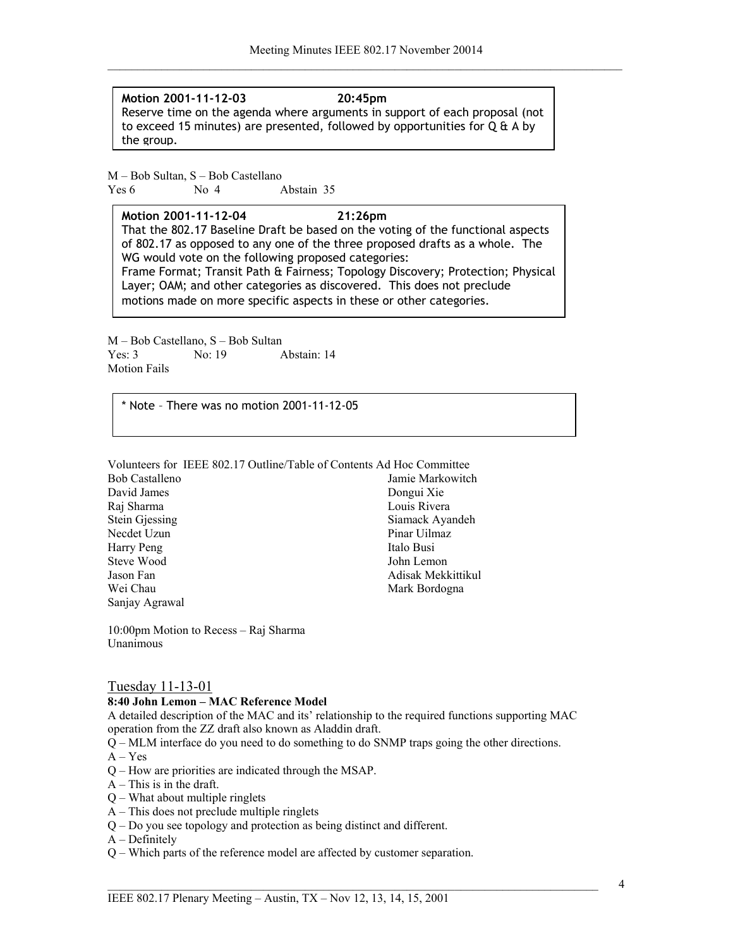**Motion 2001-11-12-03 20:45pm** Reserve time on the agenda where arguments in support of each proposal (not to exceed 15 minutes) are presented, followed by opportunities for Q & A by the group.

M – Bob Sultan, S – Bob Castellano Yes 6 No 4 Abstain 35

**Motion 2001-11-12-04 21:26pm** That the 802.17 Baseline Draft be based on the voting of the functional aspects of 802.17 as opposed to any one of the three proposed drafts as a whole. The WG would vote on the following proposed categories: Frame Format; Transit Path & Fairness; Topology Discovery; Protection; Physical Layer; OAM; and other categories as discovered. This does not preclude

motions made on more specific aspects in these or other categories.

M – Bob Castellano, S – Bob Sultan Yes: 3 No: 19 Abstain: 14 Motion Fails

\* Note – There was no motion 2001-11-12-05

Volunteers for IEEE 802.17 Outline/Table of Contents Ad Hoc Committee

Bob Castalleno David James Raj Sharma Stein Gjessing Necdet Uzun Harry Peng Steve Wood Jason Fan Wei Chau Sanjay Agrawal

Jamie Markowitch Dongui Xie Louis Rivera Siamack Ayandeh Pinar Uilmaz Italo Busi John Lemon Adisak Mekkittikul Mark Bordogna

10:00pm Motion to Recess – Raj Sharma Unanimous

# Tuesday 11-13-01

#### **8:40 John Lemon – MAC Reference Model**

A detailed description of the MAC and its' relationship to the required functions supporting MAC operation from the ZZ draft also known as Aladdin draft.

Q – MLM interface do you need to do something to do SNMP traps going the other directions.

- $A Yes$
- Q How are priorities are indicated through the MSAP.
- $A$  This is in the draft.
- Q What about multiple ringlets
- A This does not preclude multiple ringlets
- Q Do you see topology and protection as being distinct and different.
- A Definitely
- Q Which parts of the reference model are affected by customer separation.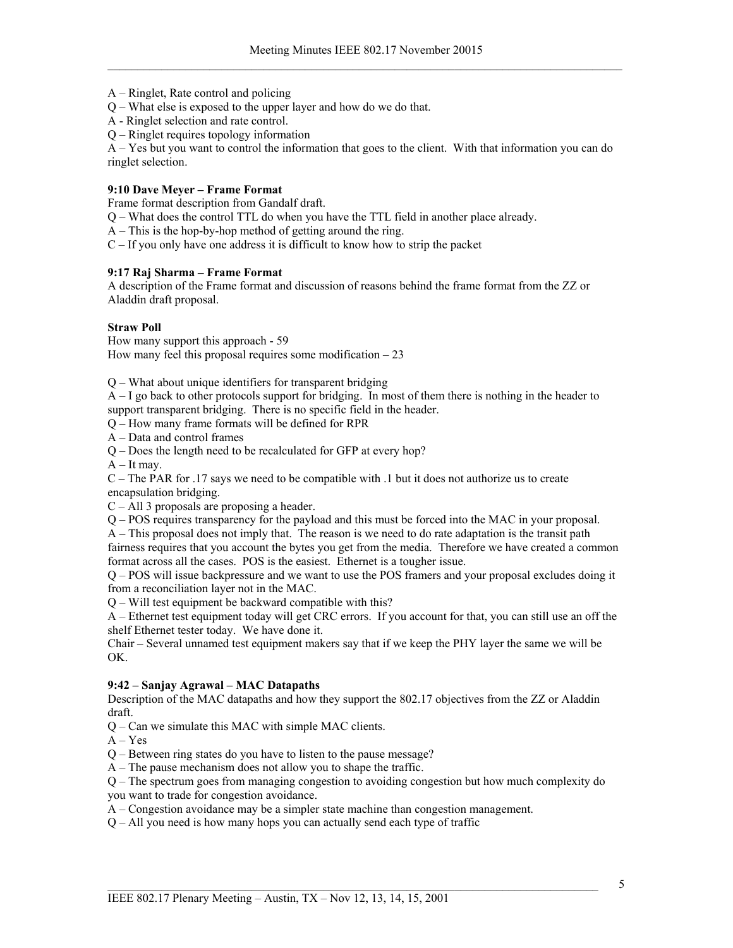A – Ringlet, Rate control and policing

Q – What else is exposed to the upper layer and how do we do that.

A - Ringlet selection and rate control.

Q – Ringlet requires topology information

A – Yes but you want to control the information that goes to the client. With that information you can do ringlet selection.

# **9:10 Dave Meyer – Frame Format**

Frame format description from Gandalf draft.

Q – What does the control TTL do when you have the TTL field in another place already.

A – This is the hop-by-hop method of getting around the ring.

C – If you only have one address it is difficult to know how to strip the packet

# **9:17 Raj Sharma – Frame Format**

A description of the Frame format and discussion of reasons behind the frame format from the ZZ or Aladdin draft proposal.

### **Straw Poll**

How many support this approach - 59 How many feel this proposal requires some modification  $-23$ 

Q – What about unique identifiers for transparent bridging

A – I go back to other protocols support for bridging. In most of them there is nothing in the header to support transparent bridging. There is no specific field in the header.

Q – How many frame formats will be defined for RPR

A – Data and control frames

Q – Does the length need to be recalculated for GFP at every hop?

 $A - It$  may.

C – The PAR for .17 says we need to be compatible with .1 but it does not authorize us to create encapsulation bridging.

C – All 3 proposals are proposing a header.

Q – POS requires transparency for the payload and this must be forced into the MAC in your proposal.

A – This proposal does not imply that. The reason is we need to do rate adaptation is the transit path fairness requires that you account the bytes you get from the media. Therefore we have created a common

format across all the cases. POS is the easiest. Ethernet is a tougher issue. Q – POS will issue backpressure and we want to use the POS framers and your proposal excludes doing it from a reconciliation layer not in the MAC.

Q – Will test equipment be backward compatible with this?

A – Ethernet test equipment today will get CRC errors. If you account for that, you can still use an off the shelf Ethernet tester today. We have done it.

Chair – Several unnamed test equipment makers say that if we keep the PHY layer the same we will be OK.

# **9:42 – Sanjay Agrawal – MAC Datapaths**

Description of the MAC datapaths and how they support the 802.17 objectives from the ZZ or Aladdin draft.

Q – Can we simulate this MAC with simple MAC clients.

 $A - Yes$ 

Q – Between ring states do you have to listen to the pause message?

A – The pause mechanism does not allow you to shape the traffic.

Q – The spectrum goes from managing congestion to avoiding congestion but how much complexity do you want to trade for congestion avoidance.

A – Congestion avoidance may be a simpler state machine than congestion management.

Q – All you need is how many hops you can actually send each type of traffic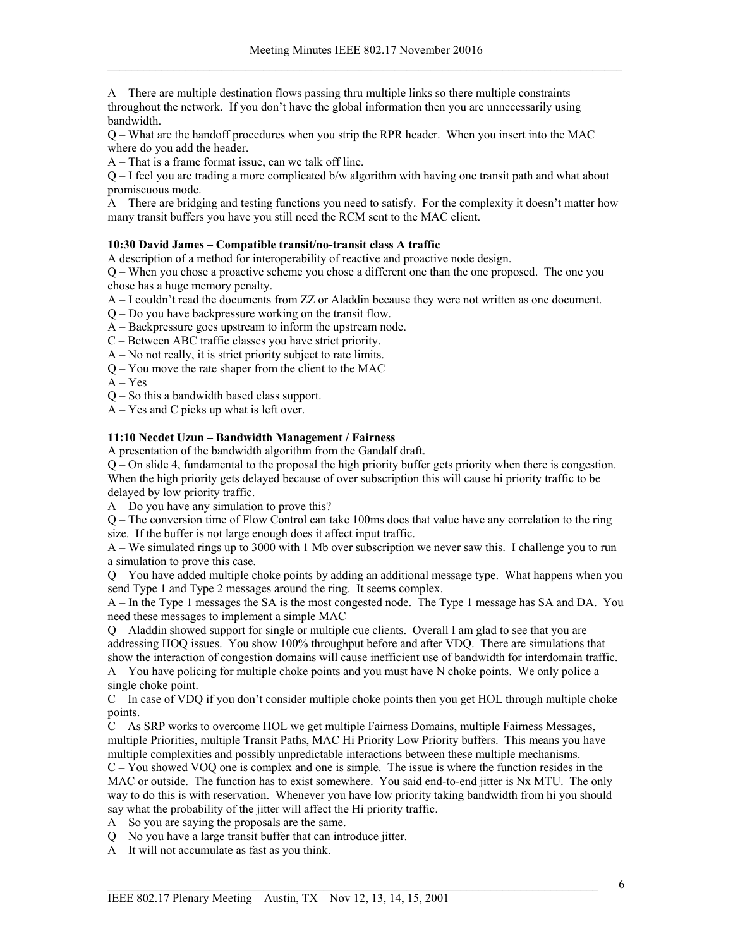A – There are multiple destination flows passing thru multiple links so there multiple constraints throughout the network. If you don't have the global information then you are unnecessarily using bandwidth.

Q – What are the handoff procedures when you strip the RPR header. When you insert into the MAC where do you add the header.

A – That is a frame format issue, can we talk off line.

Q – I feel you are trading a more complicated b/w algorithm with having one transit path and what about promiscuous mode.

A – There are bridging and testing functions you need to satisfy. For the complexity it doesn't matter how many transit buffers you have you still need the RCM sent to the MAC client.

# **10:30 David James – Compatible transit/no-transit class A traffic**

A description of a method for interoperability of reactive and proactive node design.

Q – When you chose a proactive scheme you chose a different one than the one proposed. The one you chose has a huge memory penalty.

A – I couldn't read the documents from ZZ or Aladdin because they were not written as one document.

- Q Do you have backpressure working on the transit flow.
- A Backpressure goes upstream to inform the upstream node.
- C Between ABC traffic classes you have strict priority.
- A No not really, it is strict priority subject to rate limits.
- Q You move the rate shaper from the client to the MAC

 $A - Yes$ 

Q – So this a bandwidth based class support.

A – Yes and C picks up what is left over.

# **11:10 Necdet Uzun – Bandwidth Management / Fairness**

A presentation of the bandwidth algorithm from the Gandalf draft.

Q – On slide 4, fundamental to the proposal the high priority buffer gets priority when there is congestion. When the high priority gets delayed because of over subscription this will cause hi priority traffic to be delayed by low priority traffic.

A – Do you have any simulation to prove this?

Q – The conversion time of Flow Control can take 100ms does that value have any correlation to the ring size. If the buffer is not large enough does it affect input traffic.

A – We simulated rings up to 3000 with 1 Mb over subscription we never saw this. I challenge you to run a simulation to prove this case.

Q – You have added multiple choke points by adding an additional message type. What happens when you send Type 1 and Type 2 messages around the ring. It seems complex.

A – In the Type 1 messages the SA is the most congested node. The Type 1 message has SA and DA. You need these messages to implement a simple MAC

Q – Aladdin showed support for single or multiple cue clients. Overall I am glad to see that you are addressing HOQ issues. You show 100% throughput before and after VDQ. There are simulations that show the interaction of congestion domains will cause inefficient use of bandwidth for interdomain traffic.

A – You have policing for multiple choke points and you must have N choke points. We only police a single choke point.

C – In case of VDQ if you don't consider multiple choke points then you get HOL through multiple choke points.

C – As SRP works to overcome HOL we get multiple Fairness Domains, multiple Fairness Messages, multiple Priorities, multiple Transit Paths, MAC Hi Priority Low Priority buffers. This means you have multiple complexities and possibly unpredictable interactions between these multiple mechanisms.

C – You showed VOQ one is complex and one is simple. The issue is where the function resides in the MAC or outside. The function has to exist somewhere. You said end-to-end jitter is Nx MTU. The only way to do this is with reservation. Whenever you have low priority taking bandwidth from hi you should say what the probability of the jitter will affect the Hi priority traffic.

A – So you are saying the proposals are the same.

Q – No you have a large transit buffer that can introduce jitter.

A – It will not accumulate as fast as you think.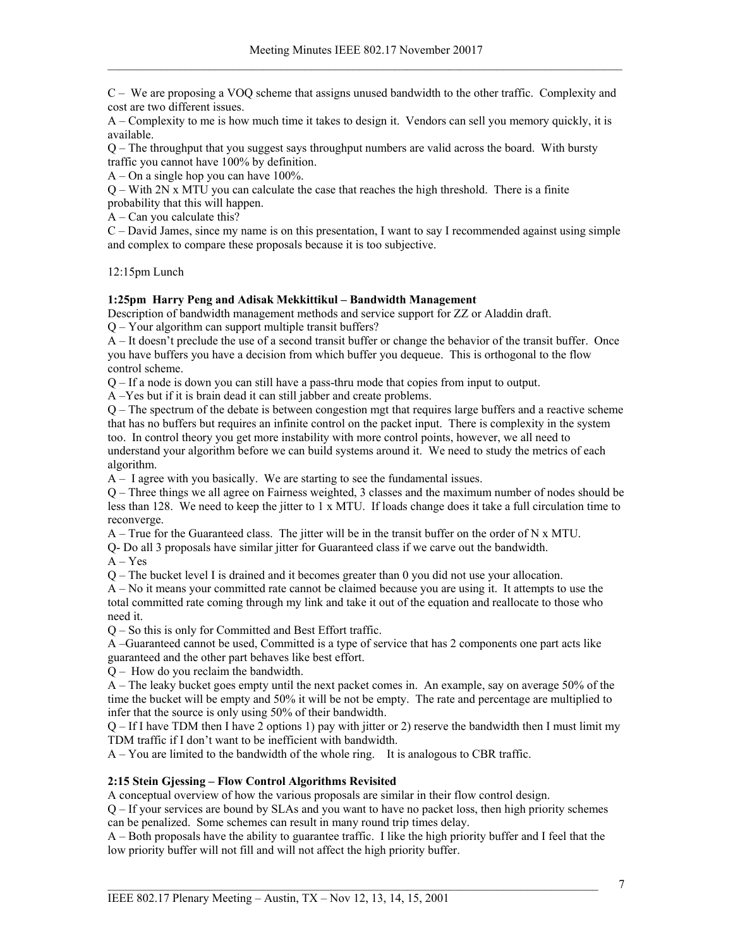C – We are proposing a VOQ scheme that assigns unused bandwidth to the other traffic. Complexity and cost are two different issues.

A – Complexity to me is how much time it takes to design it. Vendors can sell you memory quickly, it is available.

Q – The throughput that you suggest says throughput numbers are valid across the board. With bursty traffic you cannot have 100% by definition.

A – On a single hop you can have 100%.

Q – With 2N x MTU you can calculate the case that reaches the high threshold. There is a finite probability that this will happen.

 $A - Can$  you calculate this?

C – David James, since my name is on this presentation, I want to say I recommended against using simple and complex to compare these proposals because it is too subjective.

12:15pm Lunch

# **1:25pm Harry Peng and Adisak Mekkittikul – Bandwidth Management**

Description of bandwidth management methods and service support for ZZ or Aladdin draft. Q – Your algorithm can support multiple transit buffers?

A – It doesn't preclude the use of a second transit buffer or change the behavior of the transit buffer. Once you have buffers you have a decision from which buffer you dequeue. This is orthogonal to the flow control scheme.

Q – If a node is down you can still have a pass-thru mode that copies from input to output.

A –Yes but if it is brain dead it can still jabber and create problems.

Q – The spectrum of the debate is between congestion mgt that requires large buffers and a reactive scheme that has no buffers but requires an infinite control on the packet input. There is complexity in the system too. In control theory you get more instability with more control points, however, we all need to understand your algorithm before we can build systems around it. We need to study the metrics of each algorithm.

A – I agree with you basically. We are starting to see the fundamental issues.

Q – Three things we all agree on Fairness weighted, 3 classes and the maximum number of nodes should be less than 128. We need to keep the jitter to 1 x MTU. If loads change does it take a full circulation time to reconverge.

A – True for the Guaranteed class. The jitter will be in the transit buffer on the order of N x MTU.

Q- Do all 3 proposals have similar jitter for Guaranteed class if we carve out the bandwidth.

A – Yes

Q – The bucket level I is drained and it becomes greater than 0 you did not use your allocation.

A – No it means your committed rate cannot be claimed because you are using it. It attempts to use the total committed rate coming through my link and take it out of the equation and reallocate to those who need it.

Q – So this is only for Committed and Best Effort traffic.

A –Guaranteed cannot be used, Committed is a type of service that has 2 components one part acts like guaranteed and the other part behaves like best effort.

Q – How do you reclaim the bandwidth.

A – The leaky bucket goes empty until the next packet comes in. An example, say on average 50% of the time the bucket will be empty and 50% it will be not be empty. The rate and percentage are multiplied to infer that the source is only using 50% of their bandwidth.

Q – If I have TDM then I have 2 options 1) pay with jitter or 2) reserve the bandwidth then I must limit my TDM traffic if I don't want to be inefficient with bandwidth.

A – You are limited to the bandwidth of the whole ring. It is analogous to CBR traffic.

# **2:15 Stein Gjessing – Flow Control Algorithms Revisited**

A conceptual overview of how the various proposals are similar in their flow control design.

Q – If your services are bound by SLAs and you want to have no packet loss, then high priority schemes can be penalized. Some schemes can result in many round trip times delay.

A – Both proposals have the ability to guarantee traffic. I like the high priority buffer and I feel that the low priority buffer will not fill and will not affect the high priority buffer.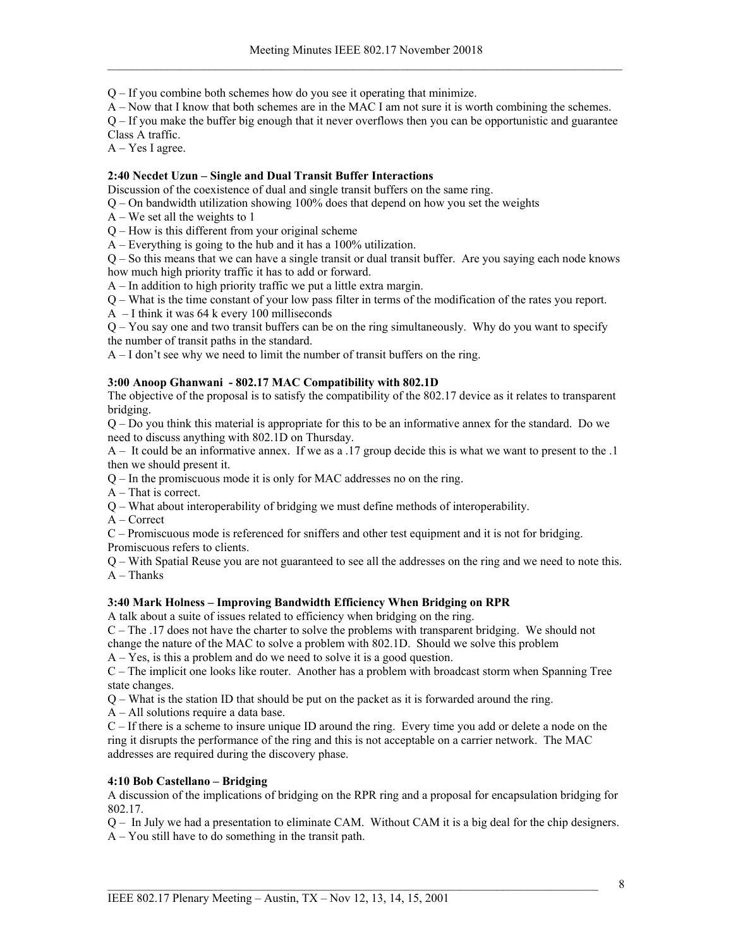Q – If you combine both schemes how do you see it operating that minimize.

A – Now that I know that both schemes are in the MAC I am not sure it is worth combining the schemes.

Q – If you make the buffer big enough that it never overflows then you can be opportunistic and guarantee Class A traffic.

A – Yes I agree.

# **2:40 Necdet Uzun – Single and Dual Transit Buffer Interactions**

Discussion of the coexistence of dual and single transit buffers on the same ring.

Q – On bandwidth utilization showing 100% does that depend on how you set the weights

 $A$  – We set all the weights to 1

Q – How is this different from your original scheme

A – Everything is going to the hub and it has a 100% utilization.

Q – So this means that we can have a single transit or dual transit buffer. Are you saying each node knows how much high priority traffic it has to add or forward.

A – In addition to high priority traffic we put a little extra margin.

Q – What is the time constant of your low pass filter in terms of the modification of the rates you report.

A – I think it was 64 k every 100 milliseconds

Q – You say one and two transit buffers can be on the ring simultaneously. Why do you want to specify the number of transit paths in the standard.

A – I don't see why we need to limit the number of transit buffers on the ring.

# **3:00 Anoop Ghanwani - 802.17 MAC Compatibility with 802.1D**

The objective of the proposal is to satisfy the compatibility of the 802.17 device as it relates to transparent bridging.

Q – Do you think this material is appropriate for this to be an informative annex for the standard. Do we need to discuss anything with 802.1D on Thursday.

A – It could be an informative annex. If we as a .17 group decide this is what we want to present to the .1 then we should present it.

Q – In the promiscuous mode it is only for MAC addresses no on the ring.

A – That is correct.

Q – What about interoperability of bridging we must define methods of interoperability.

A – Correct

C – Promiscuous mode is referenced for sniffers and other test equipment and it is not for bridging.

Promiscuous refers to clients.

Q – With Spatial Reuse you are not guaranteed to see all the addresses on the ring and we need to note this.  $A$  – Thanks

# **3:40 Mark Holness – Improving Bandwidth Efficiency When Bridging on RPR**

A talk about a suite of issues related to efficiency when bridging on the ring.

C – The .17 does not have the charter to solve the problems with transparent bridging. We should not change the nature of the MAC to solve a problem with 802.1D. Should we solve this problem

A – Yes, is this a problem and do we need to solve it is a good question.

C – The implicit one looks like router. Another has a problem with broadcast storm when Spanning Tree state changes.

Q – What is the station ID that should be put on the packet as it is forwarded around the ring.

A – All solutions require a data base.

C – If there is a scheme to insure unique ID around the ring. Every time you add or delete a node on the ring it disrupts the performance of the ring and this is not acceptable on a carrier network. The MAC addresses are required during the discovery phase.

# **4:10 Bob Castellano – Bridging**

A discussion of the implications of bridging on the RPR ring and a proposal for encapsulation bridging for 802.17.

Q – In July we had a presentation to eliminate CAM. Without CAM it is a big deal for the chip designers.

A – You still have to do something in the transit path.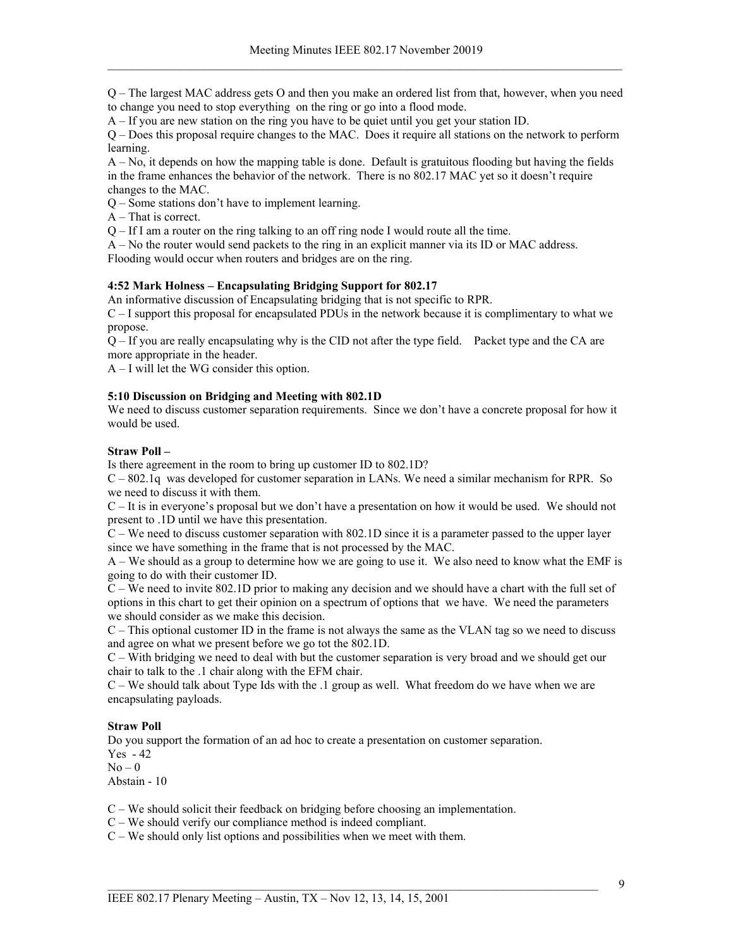Q – The largest MAC address gets O and then you make an ordered list from that, however, when you need to change you need to stop everything on the ring or go into a flood mode.

A – If you are new station on the ring you have to be quiet until you get your station ID.

Q – Does this proposal require changes to the MAC. Does it require all stations on the network to perform learning.

A – No, it depends on how the mapping table is done. Default is gratuitous flooding but having the fields in the frame enhances the behavior of the network. There is no 802.17 MAC yet so it doesn't require changes to the MAC.

Q – Some stations don't have to implement learning.

A – That is correct.

Q – If I am a router on the ring talking to an off ring node I would route all the time.

A – No the router would send packets to the ring in an explicit manner via its ID or MAC address. Flooding would occur when routers and bridges are on the ring.

# **4:52 Mark Holness – Encapsulating Bridging Support for 802.17**

An informative discussion of Encapsulating bridging that is not specific to RPR.

C – I support this proposal for encapsulated PDUs in the network because it is complimentary to what we propose.

Q – If you are really encapsulating why is the CID not after the type field. Packet type and the CA are more appropriate in the header.

A – I will let the WG consider this option.

### **5:10 Discussion on Bridging and Meeting with 802.1D**

We need to discuss customer separation requirements. Since we don't have a concrete proposal for how it would be used.

### **Straw Poll –**

Is there agreement in the room to bring up customer ID to 802.1D?

C – 802.1q was developed for customer separation in LANs. We need a similar mechanism for RPR. So we need to discuss it with them.

C – It is in everyone's proposal but we don't have a presentation on how it would be used. We should not present to .1D until we have this presentation.

C – We need to discuss customer separation with 802.1D since it is a parameter passed to the upper layer since we have something in the frame that is not processed by the MAC.

A – We should as a group to determine how we are going to use it. We also need to know what the EMF is going to do with their customer ID.

C – We need to invite 802.1D prior to making any decision and we should have a chart with the full set of options in this chart to get their opinion on a spectrum of options that we have. We need the parameters we should consider as we make this decision.

C – This optional customer ID in the frame is not always the same as the VLAN tag so we need to discuss and agree on what we present before we go tot the 802.1D.

C – With bridging we need to deal with but the customer separation is very broad and we should get our chair to talk to the .1 chair along with the EFM chair.

C – We should talk about Type Ids with the .1 group as well. What freedom do we have when we are encapsulating payloads.

# **Straw Poll**

Do you support the formation of an ad hoc to create a presentation on customer separation.

Yes - 42

 $No - 0$ 

Abstain - 10

C – We should solicit their feedback on bridging before choosing an implementation.

C – We should verify our compliance method is indeed compliant.

C – We should only list options and possibilities when we meet with them.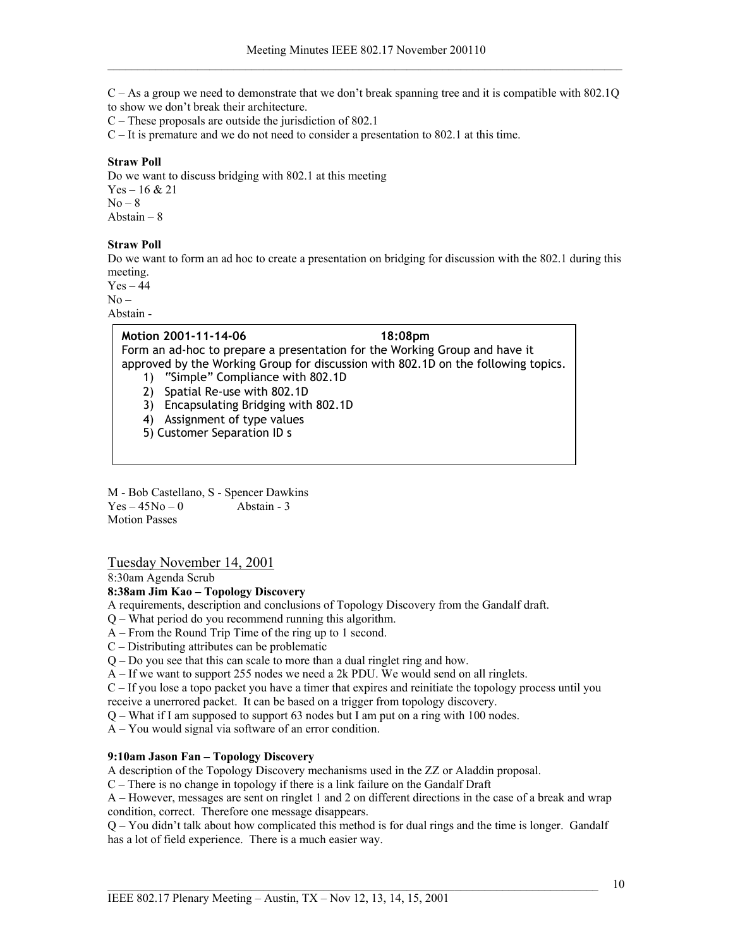C – As a group we need to demonstrate that we don't break spanning tree and it is compatible with 802.1Q to show we don't break their architecture.

C – These proposals are outside the jurisdiction of 802.1

C – It is premature and we do not need to consider a presentation to 802.1 at this time.

# **Straw Poll**

Do we want to discuss bridging with 802.1 at this meeting Yes – 16 & 21  $No - 8$ Abstain – 8

### **Straw Poll**

Do we want to form an ad hoc to create a presentation on bridging for discussion with the 802.1 during this meeting.

 $Yes - 44$  $No -$ 

Abstain -

# **Motion 2001-11-14-06 18:08pm**

Form an ad-hoc to prepare a presentation for the Working Group and have it approved by the Working Group for discussion with 802.1D on the following topics.

- 1) "Simple" Compliance with 802.1D
- 2) Spatial Re-use with 802.1D
- 3) Encapsulating Bridging with 802.1D
- 4) Assignment of type values
- 5) Customer Separation ID s

M - Bob Castellano, S - Spencer Dawkins  $Yes - 45No - 0$  Abstain - 3 Motion Passes

# Tuesday November 14, 2001

8:30am Agenda Scrub

# **8:38am Jim Kao – Topology Discovery**

- A requirements, description and conclusions of Topology Discovery from the Gandalf draft.
- Q What period do you recommend running this algorithm.
- A From the Round Trip Time of the ring up to 1 second.
- C Distributing attributes can be problematic
- Q Do you see that this can scale to more than a dual ringlet ring and how.
- A If we want to support 255 nodes we need a 2k PDU. We would send on all ringlets.

C – If you lose a topo packet you have a timer that expires and reinitiate the topology process until you receive a unerrored packet. It can be based on a trigger from topology discovery.

Q – What if I am supposed to support 63 nodes but I am put on a ring with 100 nodes.

A – You would signal via software of an error condition.

# **9:10am Jason Fan – Topology Discovery**

A description of the Topology Discovery mechanisms used in the ZZ or Aladdin proposal.

C – There is no change in topology if there is a link failure on the Gandalf Draft

A – However, messages are sent on ringlet 1 and 2 on different directions in the case of a break and wrap condition, correct. Therefore one message disappears.

Q – You didn't talk about how complicated this method is for dual rings and the time is longer. Gandalf has a lot of field experience. There is a much easier way.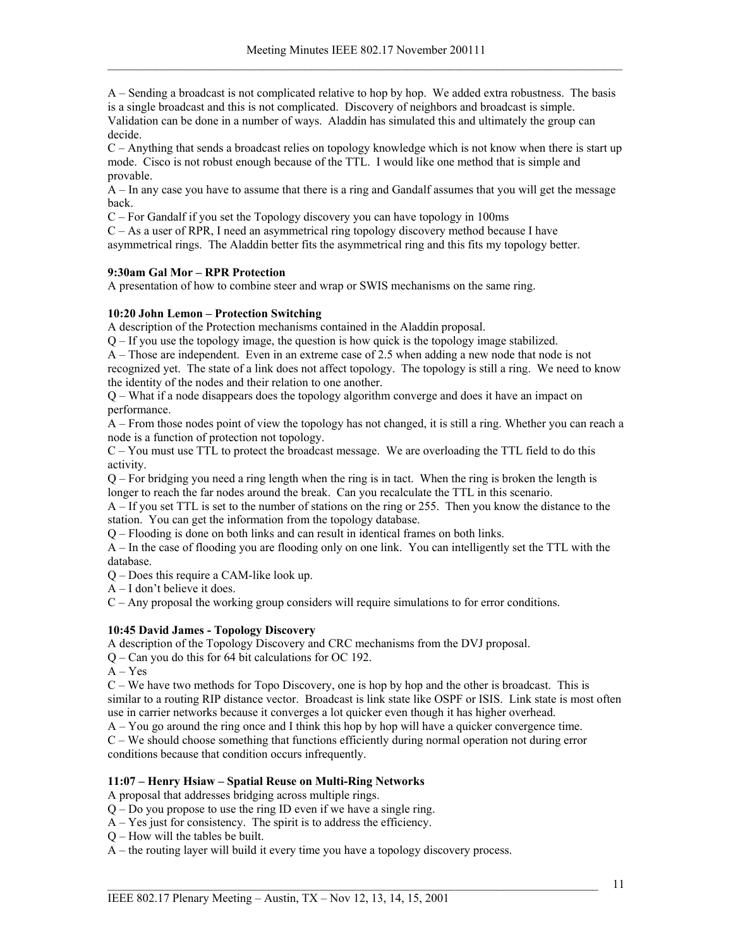A – Sending a broadcast is not complicated relative to hop by hop. We added extra robustness. The basis is a single broadcast and this is not complicated. Discovery of neighbors and broadcast is simple. Validation can be done in a number of ways. Aladdin has simulated this and ultimately the group can decide.

 $C$  – Anything that sends a broadcast relies on topology knowledge which is not know when there is start up mode. Cisco is not robust enough because of the TTL. I would like one method that is simple and provable.

A – In any case you have to assume that there is a ring and Gandalf assumes that you will get the message back.

C – For Gandalf if you set the Topology discovery you can have topology in 100ms

C – As a user of RPR, I need an asymmetrical ring topology discovery method because I have asymmetrical rings. The Aladdin better fits the asymmetrical ring and this fits my topology better.

# **9:30am Gal Mor – RPR Protection**

A presentation of how to combine steer and wrap or SWIS mechanisms on the same ring.

### **10:20 John Lemon – Protection Switching**

A description of the Protection mechanisms contained in the Aladdin proposal.

Q – If you use the topology image, the question is how quick is the topology image stabilized.

A – Those are independent. Even in an extreme case of 2.5 when adding a new node that node is not recognized yet. The state of a link does not affect topology. The topology is still a ring. We need to know the identity of the nodes and their relation to one another.

Q – What if a node disappears does the topology algorithm converge and does it have an impact on performance.

A – From those nodes point of view the topology has not changed, it is still a ring. Whether you can reach a node is a function of protection not topology.

C – You must use TTL to protect the broadcast message. We are overloading the TTL field to do this activity.

Q – For bridging you need a ring length when the ring is in tact. When the ring is broken the length is longer to reach the far nodes around the break. Can you recalculate the TTL in this scenario.

A – If you set TTL is set to the number of stations on the ring or 255. Then you know the distance to the station. You can get the information from the topology database.

Q – Flooding is done on both links and can result in identical frames on both links.

A – In the case of flooding you are flooding only on one link. You can intelligently set the TTL with the database.

Q – Does this require a CAM-like look up.

A – I don't believe it does.

C – Any proposal the working group considers will require simulations to for error conditions.

# **10:45 David James - Topology Discovery**

A description of the Topology Discovery and CRC mechanisms from the DVJ proposal.

Q – Can you do this for 64 bit calculations for OC 192.

 $A - Yes$ 

C – We have two methods for Topo Discovery, one is hop by hop and the other is broadcast. This is similar to a routing RIP distance vector. Broadcast is link state like OSPF or ISIS. Link state is most often use in carrier networks because it converges a lot quicker even though it has higher overhead.

A – You go around the ring once and I think this hop by hop will have a quicker convergence time.

C – We should choose something that functions efficiently during normal operation not during error conditions because that condition occurs infrequently.

# **11:07 – Henry Hsiaw – Spatial Reuse on Multi-Ring Networks**

A proposal that addresses bridging across multiple rings.

Q – Do you propose to use the ring ID even if we have a single ring.

- A Yes just for consistency. The spirit is to address the efficiency.
- Q How will the tables be built.

A – the routing layer will build it every time you have a topology discovery process.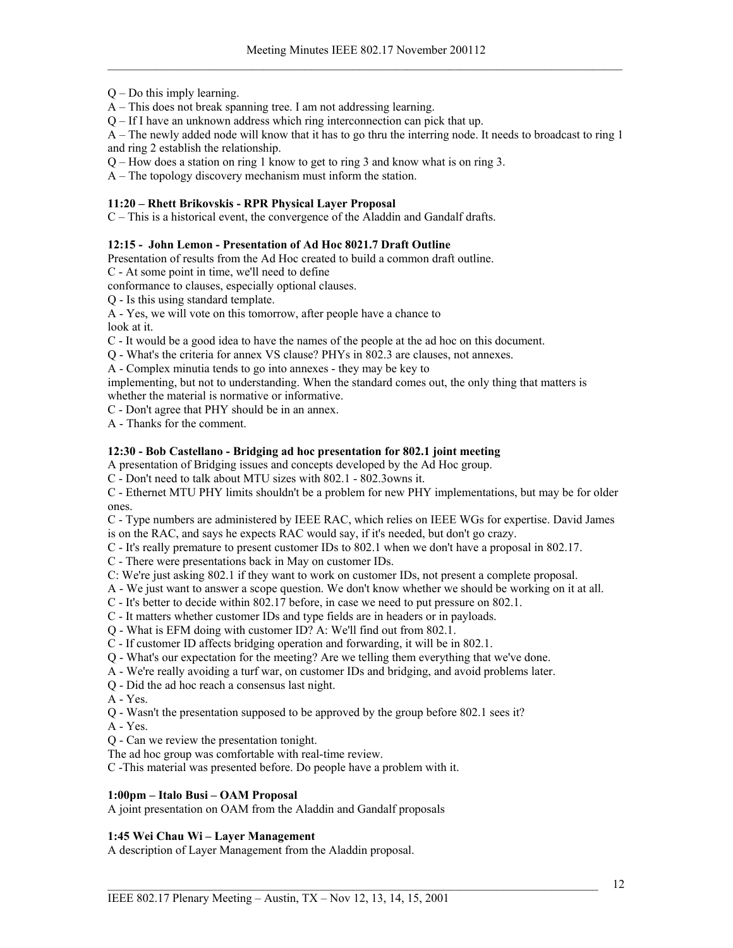- Q Do this imply learning.
- A This does not break spanning tree. I am not addressing learning.
- Q If I have an unknown address which ring interconnection can pick that up.

A – The newly added node will know that it has to go thru the interring node. It needs to broadcast to ring 1 and ring 2 establish the relationship.

Q – How does a station on ring 1 know to get to ring 3 and know what is on ring 3.

A – The topology discovery mechanism must inform the station.

# **11:20 – Rhett Brikovskis - RPR Physical Layer Proposal**

C – This is a historical event, the convergence of the Aladdin and Gandalf drafts.

### **12:15 - John Lemon - Presentation of Ad Hoc 8021.7 Draft Outline**

Presentation of results from the Ad Hoc created to build a common draft outline.

C - At some point in time, we'll need to define

conformance to clauses, especially optional clauses.

Q - Is this using standard template.

# A - Yes, we will vote on this tomorrow, after people have a chance to

look at it.

C - It would be a good idea to have the names of the people at the ad hoc on this document.

Q - What's the criteria for annex VS clause? PHYs in 802.3 are clauses, not annexes.

A - Complex minutia tends to go into annexes - they may be key to

implementing, but not to understanding. When the standard comes out, the only thing that matters is whether the material is normative or informative.

C - Don't agree that PHY should be in an annex.

A - Thanks for the comment.

# **12:30 - Bob Castellano - Bridging ad hoc presentation for 802.1 joint meeting**

A presentation of Bridging issues and concepts developed by the Ad Hoc group.

C - Don't need to talk about MTU sizes with 802.1 - 802.3owns it.

C - Ethernet MTU PHY limits shouldn't be a problem for new PHY implementations, but may be for older ones.

C - Type numbers are administered by IEEE RAC, which relies on IEEE WGs for expertise. David James is on the RAC, and says he expects RAC would say, if it's needed, but don't go crazy.

C - It's really premature to present customer IDs to 802.1 when we don't have a proposal in 802.17.

C - There were presentations back in May on customer IDs.

C: We're just asking 802.1 if they want to work on customer IDs, not present a complete proposal.

A - We just want to answer a scope question. We don't know whether we should be working on it at all.

C - It's better to decide within 802.17 before, in case we need to put pressure on 802.1.

C - It matters whether customer IDs and type fields are in headers or in payloads.

Q - What is EFM doing with customer ID? A: We'll find out from 802.1.

- C If customer ID affects bridging operation and forwarding, it will be in 802.1.
- Q What's our expectation for the meeting? Are we telling them everything that we've done.
- A We're really avoiding a turf war, on customer IDs and bridging, and avoid problems later.
- Q Did the ad hoc reach a consensus last night.

A - Yes.

Q - Wasn't the presentation supposed to be approved by the group before 802.1 sees it?

A - Yes.

- Q Can we review the presentation tonight.
- The ad hoc group was comfortable with real-time review.

C -This material was presented before. Do people have a problem with it.

# **1:00pm – Italo Busi – OAM Proposal**

A joint presentation on OAM from the Aladdin and Gandalf proposals

# **1:45 Wei Chau Wi – Layer Management**

A description of Layer Management from the Aladdin proposal.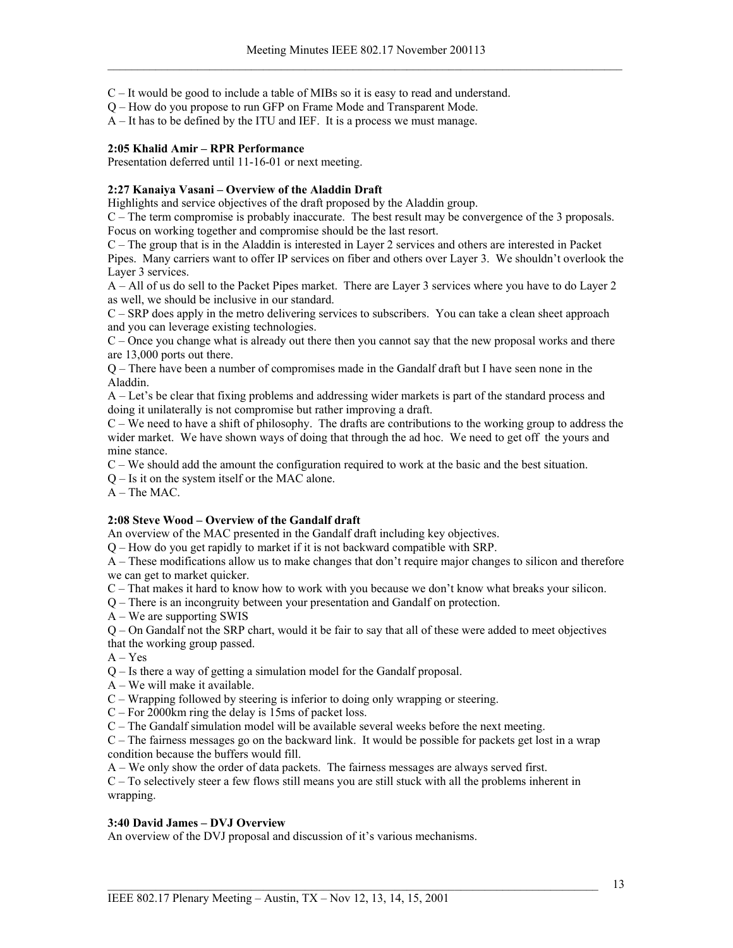C – It would be good to include a table of MIBs so it is easy to read and understand.

Q – How do you propose to run GFP on Frame Mode and Transparent Mode.

A – It has to be defined by the ITU and IEF. It is a process we must manage.

# **2:05 Khalid Amir – RPR Performance**

Presentation deferred until 11-16-01 or next meeting.

# **2:27 Kanaiya Vasani – Overview of the Aladdin Draft**

Highlights and service objectives of the draft proposed by the Aladdin group.

C – The term compromise is probably inaccurate. The best result may be convergence of the 3 proposals. Focus on working together and compromise should be the last resort.

C – The group that is in the Aladdin is interested in Layer 2 services and others are interested in Packet Pipes. Many carriers want to offer IP services on fiber and others over Layer 3. We shouldn't overlook the Layer 3 services.

A – All of us do sell to the Packet Pipes market. There are Layer 3 services where you have to do Layer 2 as well, we should be inclusive in our standard.

C – SRP does apply in the metro delivering services to subscribers. You can take a clean sheet approach and you can leverage existing technologies.

C – Once you change what is already out there then you cannot say that the new proposal works and there are 13,000 ports out there.

Q – There have been a number of compromises made in the Gandalf draft but I have seen none in the Aladdin.

A – Let's be clear that fixing problems and addressing wider markets is part of the standard process and doing it unilaterally is not compromise but rather improving a draft.

 $C -$  We need to have a shift of philosophy. The drafts are contributions to the working group to address the wider market. We have shown ways of doing that through the ad hoc. We need to get off the yours and mine stance.

C – We should add the amount the configuration required to work at the basic and the best situation.

Q – Is it on the system itself or the MAC alone.

A – The MAC.

# **2:08 Steve Wood – Overview of the Gandalf draft**

An overview of the MAC presented in the Gandalf draft including key objectives.

Q – How do you get rapidly to market if it is not backward compatible with SRP.

A – These modifications allow us to make changes that don't require major changes to silicon and therefore we can get to market quicker.

C – That makes it hard to know how to work with you because we don't know what breaks your silicon.

Q – There is an incongruity between your presentation and Gandalf on protection.

A – We are supporting SWIS

Q – On Gandalf not the SRP chart, would it be fair to say that all of these were added to meet objectives that the working group passed.

 $A - Yes$ 

Q – Is there a way of getting a simulation model for the Gandalf proposal.

A – We will make it available.

C – Wrapping followed by steering is inferior to doing only wrapping or steering.

C – For 2000km ring the delay is 15ms of packet loss.

C – The Gandalf simulation model will be available several weeks before the next meeting.

C – The fairness messages go on the backward link. It would be possible for packets get lost in a wrap condition because the buffers would fill.

A – We only show the order of data packets. The fairness messages are always served first.

C – To selectively steer a few flows still means you are still stuck with all the problems inherent in wrapping.

# **3:40 David James – DVJ Overview**

An overview of the DVJ proposal and discussion of it's various mechanisms.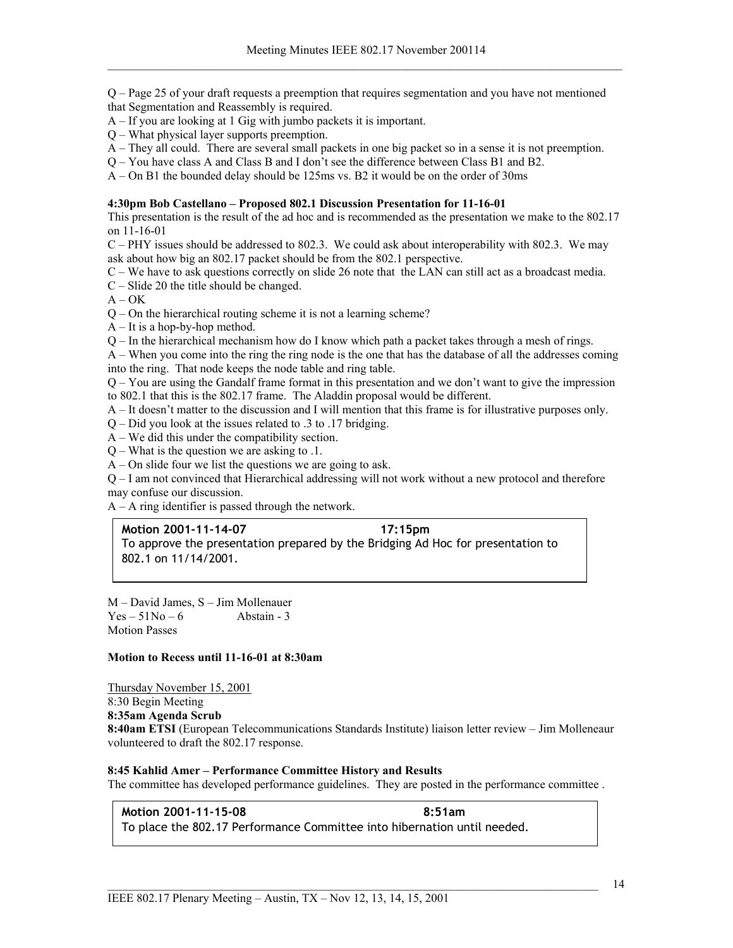Q – Page 25 of your draft requests a preemption that requires segmentation and you have not mentioned that Segmentation and Reassembly is required.

- A If you are looking at 1 Gig with jumbo packets it is important.
- Q What physical layer supports preemption.
- A They all could. There are several small packets in one big packet so in a sense it is not preemption.
- Q You have class A and Class B and I don't see the difference between Class B1 and B2.

A – On B1 the bounded delay should be 125ms vs. B2 it would be on the order of 30ms

#### **4:30pm Bob Castellano – Proposed 802.1 Discussion Presentation for 11-16-01**

This presentation is the result of the ad hoc and is recommended as the presentation we make to the 802.17 on 11-16-01

 $C - PHY$  issues should be addressed to 802.3. We could ask about interoperability with 802.3. We may ask about how big an 802.17 packet should be from the 802.1 perspective.

- C We have to ask questions correctly on slide 26 note that the LAN can still act as a broadcast media.
- C Slide 20 the title should be changed.
- $A OK$
- Q On the hierarchical routing scheme it is not a learning scheme?
- $A It$  is a hop-by-hop method.
- Q In the hierarchical mechanism how do I know which path a packet takes through a mesh of rings.

A – When you come into the ring the ring node is the one that has the database of all the addresses coming into the ring. That node keeps the node table and ring table.

Q – You are using the Gandalf frame format in this presentation and we don't want to give the impression to 802.1 that this is the 802.17 frame. The Aladdin proposal would be different.

- A It doesn't matter to the discussion and I will mention that this frame is for illustrative purposes only.
- Q Did you look at the issues related to .3 to .17 bridging.
- A We did this under the compatibility section.
- Q What is the question we are asking to .1.
- $A$  On slide four we list the questions we are going to ask.

Q – I am not convinced that Hierarchical addressing will not work without a new protocol and therefore may confuse our discussion.

A – A ring identifier is passed through the network.

#### **Motion 2001-11-14-07 17:15pm**

To approve the presentation prepared by the Bridging Ad Hoc for presentation to 802.1 on 11/14/2001.

M – David James, S – Jim Mollenauer  $Yes - 51No - 6$  Abstain - 3 Motion Passes

### **Motion to Recess until 11-16-01 at 8:30am**

Thursday November 15, 2001 8:30 Begin Meeting **8:35am Agenda Scrub 8:40am ETSI** (European Telecommunications Standards Institute) liaison letter review – Jim Molleneaur volunteered to draft the 802.17 response.

# **8:45 Kahlid Amer – Performance Committee History and Results**

The committee has developed performance guidelines. They are posted in the performance committee .

**Motion 2001-11-15-08** 8:51am To place the 802.17 Performance Committee into hibernation until needed.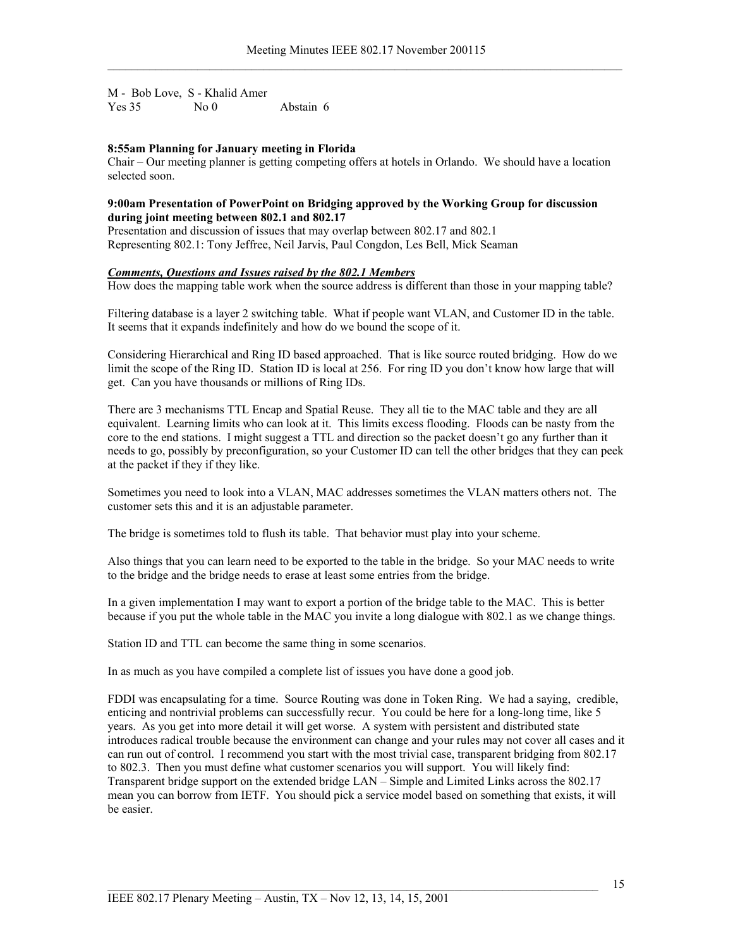M - Bob Love, S - Khalid Amer Yes 35 No 0 Abstain 6

# **8:55am Planning for January meeting in Florida**

Chair – Our meeting planner is getting competing offers at hotels in Orlando. We should have a location selected soon.

### **9:00am Presentation of PowerPoint on Bridging approved by the Working Group for discussion during joint meeting between 802.1 and 802.17**

Presentation and discussion of issues that may overlap between 802.17 and 802.1 Representing 802.1: Tony Jeffree, Neil Jarvis, Paul Congdon, Les Bell, Mick Seaman

# *Comments, Questions and Issues raised by the 802.1 Members*

How does the mapping table work when the source address is different than those in your mapping table?

Filtering database is a layer 2 switching table. What if people want VLAN, and Customer ID in the table. It seems that it expands indefinitely and how do we bound the scope of it.

Considering Hierarchical and Ring ID based approached. That is like source routed bridging. How do we limit the scope of the Ring ID. Station ID is local at 256. For ring ID you don't know how large that will get. Can you have thousands or millions of Ring IDs.

There are 3 mechanisms TTL Encap and Spatial Reuse. They all tie to the MAC table and they are all equivalent. Learning limits who can look at it. This limits excess flooding. Floods can be nasty from the core to the end stations. I might suggest a TTL and direction so the packet doesn't go any further than it needs to go, possibly by preconfiguration, so your Customer ID can tell the other bridges that they can peek at the packet if they if they like.

Sometimes you need to look into a VLAN, MAC addresses sometimes the VLAN matters others not. The customer sets this and it is an adjustable parameter.

The bridge is sometimes told to flush its table. That behavior must play into your scheme.

Also things that you can learn need to be exported to the table in the bridge. So your MAC needs to write to the bridge and the bridge needs to erase at least some entries from the bridge.

In a given implementation I may want to export a portion of the bridge table to the MAC. This is better because if you put the whole table in the MAC you invite a long dialogue with 802.1 as we change things.

Station ID and TTL can become the same thing in some scenarios.

In as much as you have compiled a complete list of issues you have done a good job.

FDDI was encapsulating for a time. Source Routing was done in Token Ring. We had a saying, credible, enticing and nontrivial problems can successfully recur. You could be here for a long-long time, like 5 years. As you get into more detail it will get worse. A system with persistent and distributed state introduces radical trouble because the environment can change and your rules may not cover all cases and it can run out of control. I recommend you start with the most trivial case, transparent bridging from 802.17 to 802.3. Then you must define what customer scenarios you will support. You will likely find: Transparent bridge support on the extended bridge LAN – Simple and Limited Links across the 802.17 mean you can borrow from IETF. You should pick a service model based on something that exists, it will be easier.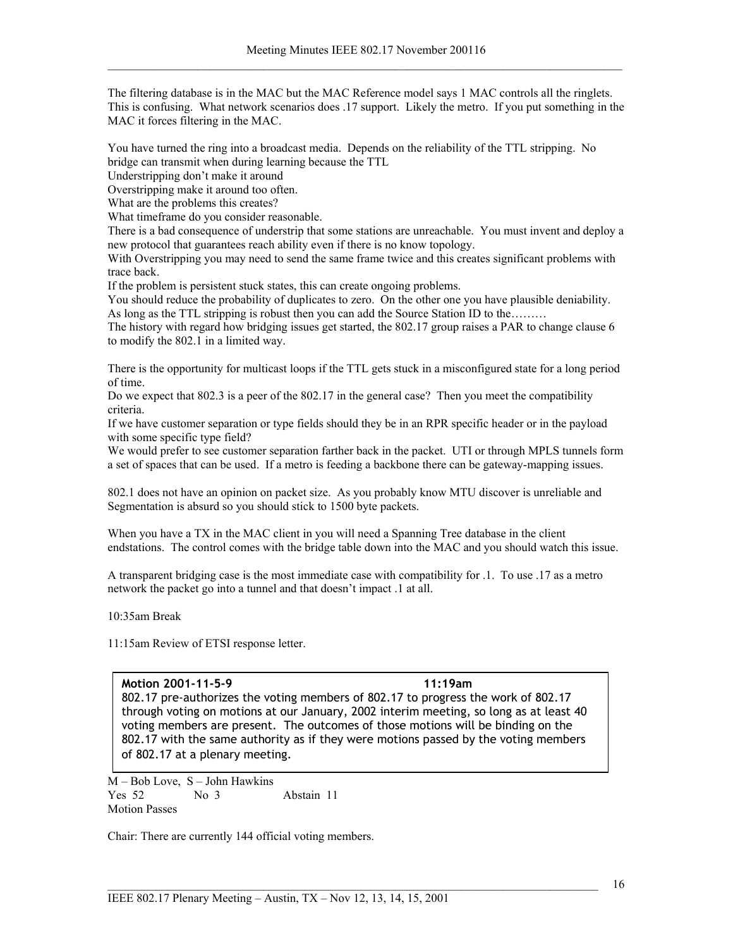The filtering database is in the MAC but the MAC Reference model says 1 MAC controls all the ringlets. This is confusing. What network scenarios does .17 support. Likely the metro. If you put something in the MAC it forces filtering in the MAC.

You have turned the ring into a broadcast media. Depends on the reliability of the TTL stripping. No bridge can transmit when during learning because the TTL

Understripping don't make it around

Overstripping make it around too often.

What are the problems this creates?

What timeframe do you consider reasonable.

There is a bad consequence of understrip that some stations are unreachable. You must invent and deploy a new protocol that guarantees reach ability even if there is no know topology.

With Overstripping you may need to send the same frame twice and this creates significant problems with trace back.

If the problem is persistent stuck states, this can create ongoing problems.

You should reduce the probability of duplicates to zero. On the other one you have plausible deniability. As long as the TTL stripping is robust then you can add the Source Station ID to the………

The history with regard how bridging issues get started, the 802.17 group raises a PAR to change clause 6 to modify the 802.1 in a limited way.

There is the opportunity for multicast loops if the TTL gets stuck in a misconfigured state for a long period of time.

Do we expect that 802.3 is a peer of the 802.17 in the general case? Then you meet the compatibility criteria.

If we have customer separation or type fields should they be in an RPR specific header or in the payload with some specific type field?

We would prefer to see customer separation farther back in the packet. UTI or through MPLS tunnels form a set of spaces that can be used. If a metro is feeding a backbone there can be gateway-mapping issues.

802.1 does not have an opinion on packet size. As you probably know MTU discover is unreliable and Segmentation is absurd so you should stick to 1500 byte packets.

When you have a TX in the MAC client in you will need a Spanning Tree database in the client endstations. The control comes with the bridge table down into the MAC and you should watch this issue.

A transparent bridging case is the most immediate case with compatibility for .1. To use .17 as a metro network the packet go into a tunnel and that doesn't impact .1 at all.

10:35am Break

11:15am Review of ETSI response letter.

#### **Motion 2001-11-5-9 11:19am**

802.17 pre-authorizes the voting members of 802.17 to progress the work of 802.17 through voting on motions at our January, 2002 interim meeting, so long as at least 40 voting members are present. The outcomes of those motions will be binding on the 802.17 with the same authority as if they were motions passed by the voting members of 802.17 at a plenary meeting.

M – Bob Love, S – John Hawkins Yes 52 No 3 Abstain 11 Motion Passes

Chair: There are currently 144 official voting members.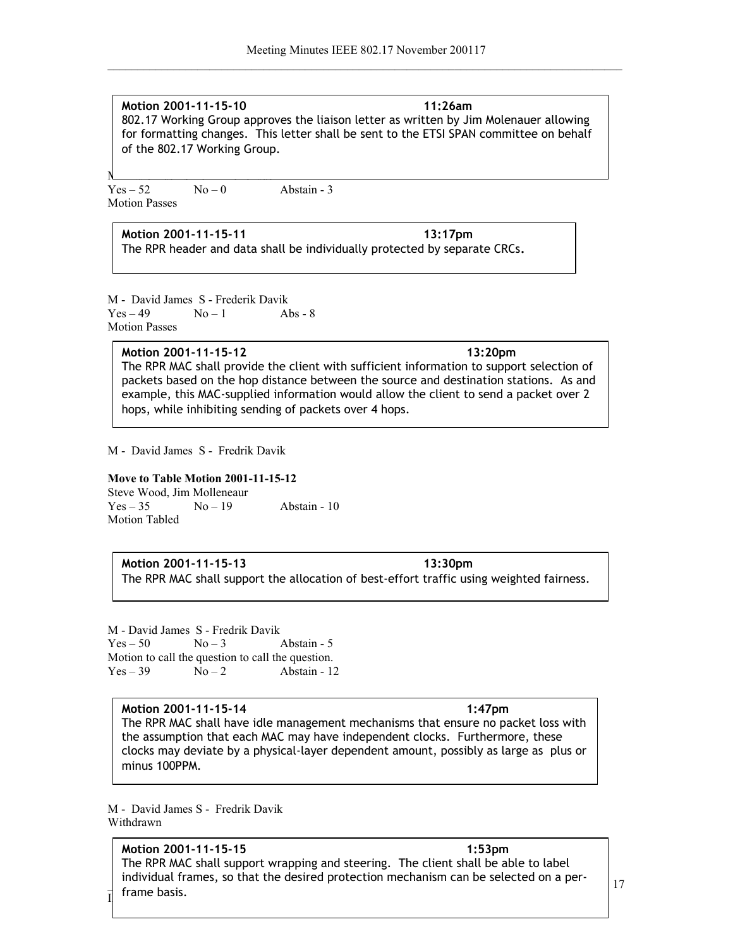**Motion 2001-11-15-10 11:26am** 802.17 Working Group approves the liaison letter as written by Jim Molenauer allowing for formatting changes. This letter shall be sent to the ETSI SPAN committee on behalf of the 802.17 Working Group.

N – Italien – January Stephen – January Stephen – January Stephen – January Stephen – January Stephen – January Stephen – January Stephen – January Stephen – January Stephen – January Stephen – January Stephen – January St  $Yes - 52$   $No - 0$  Abstain - 3 Motion Passes

**Motion 2001-11-15-11** 13:17pm The RPR header and data shall be individually protected by separate CRCs**.**

M - David James S - Frederik Davik  $Yes-49$   $No-1$  Abs - 8 Motion Passes

**Motion 2001-11-15-12 13:20pm**  The RPR MAC shall provide the client with sufficient information to support selection of packets based on the hop distance between the source and destination stations. As and example, this MAC-supplied information would allow the client to send a packet over 2 hops, while inhibiting sending of packets over 4 hops.

M - David James S - Fredrik Davik

# **Move to Table Motion 2001-11-15-12**

Steve Wood, Jim Molleneaur  $Yes - 35$   $No - 19$  Abstain - 10 Motion Tabled

# **Motion 2001-11-15-13** 13:30pm

The RPR MAC shall support the allocation of best-effort traffic using weighted fairness.

M - David James S - Fredrik Davik  $Yes - 50$   $No - 3$  Abstain - 5 Motion to call the question to call the question.  $Yes-39$   $No-2$  Abstain - 12

**Motion 2001-11-15-14 1:47pm** The RPR MAC shall have idle management mechanisms that ensure no packet loss with the assumption that each MAC may have independent clocks. Furthermore, these clocks may deviate by a physical-layer dependent amount, possibly as large as plus or minus 100PPM.

M - David James S - Fredrik Davik Withdrawn

individual frames, so that the desired protection mechanism can be selected on a per-<br>frame has in  $\begin{bmatrix} 1 \\ 1 \end{bmatrix}$  Hallie Dasis. **Motion 2001-11-15-15 1:53pm** The RPR MAC shall support wrapping and steering. The client shall be able to label frame basis.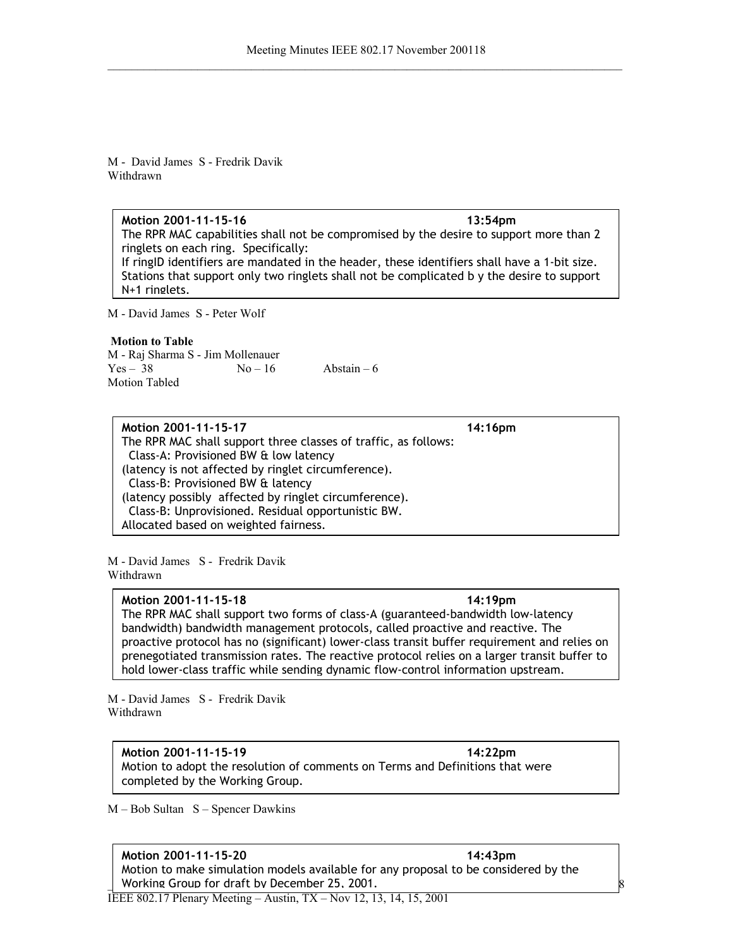M - David James S - Fredrik Davik Withdrawn

# **Motion 2001-11-15-16 13:54pm**

The RPR MAC capabilities shall not be compromised by the desire to support more than 2 ringlets on each ring. Specifically:

If ringID identifiers are mandated in the header, these identifiers shall have a 1-bit size. Stations that support only two ringlets shall not be complicated b y the desire to support N+1 ringlets.

M - David James S - Peter Wolf

# **Motion to Table**

M - Raj Sharma S - Jim Mollenauer  $Yes - 38$   $No - 16$   $Abstain - 6$ Motion Tabled

**Motion 2001-11-15-17 14:16pm**  The RPR MAC shall support three classes of traffic, as follows: Class-A: Provisioned BW & low latency (latency is not affected by ringlet circumference). Class-B: Provisioned BW & latency (latency possibly affected by ringlet circumference). Class-B: Unprovisioned. Residual opportunistic BW. Allocated based on weighted fairness.

M - David James S - Fredrik Davik Withdrawn

# **Motion 2001-11-15-18 14:19pm**

The RPR MAC shall support two forms of class-A (guaranteed-bandwidth low-latency bandwidth) bandwidth management protocols, called proactive and reactive. The proactive protocol has no (significant) lower-class transit buffer requirement and relies on prenegotiated transmission rates. The reactive protocol relies on a larger transit buffer to hold lower-class traffic while sending dynamic flow-control information upstream.

M - David James S - Fredrik Davik Withdrawn

**Motion 2001-11-15-19 14:22pm**  Motion to adopt the resolution of comments on Terms and Definitions that were completed by the Working Group.

M – Bob Sultan S – Spencer Dawkins

# **Motion 2001-11-15-20 14:43pm**

\_\_\_\_\_\_\_\_\_\_\_\_\_\_\_\_\_\_\_\_\_\_\_\_\_\_\_\_\_\_\_\_\_\_\_\_\_\_\_\_\_\_\_\_\_\_\_\_\_\_\_\_\_\_\_\_\_\_\_\_\_\_\_\_\_\_\_\_\_\_\_\_\_\_\_\_\_\_\_\_\_\_ Working Group for draft by December 25, 2001.Motion to make simulation models available for any proposal to be considered by the

IEEE 802.17 Plenary Meeting – Austin, TX – Nov 12, 13, 14, 15, 2001

18